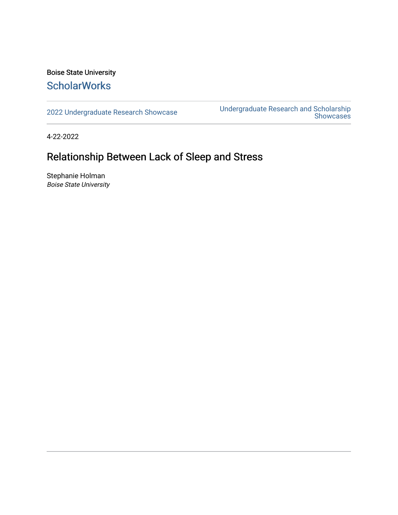### Boise State University **ScholarWorks**

[2022 Undergraduate Research Showcase](https://scholarworks.boisestate.edu/under_showcase_2022) [Undergraduate Research and Scholarship](https://scholarworks.boisestate.edu/under_conference)  [Showcases](https://scholarworks.boisestate.edu/under_conference) 

4-22-2022

### Relationship Between Lack of Sleep and Stress

Stephanie Holman Boise State University